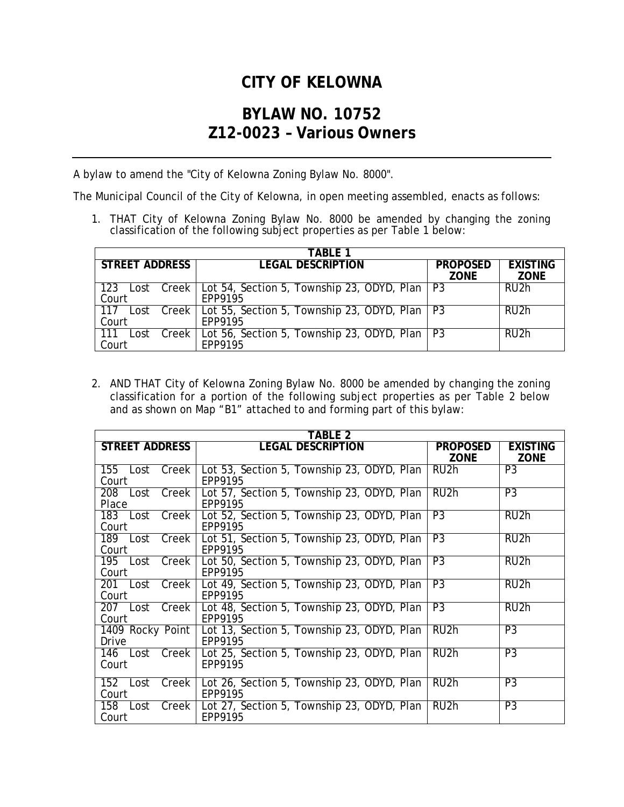## **CITY OF KELOWNA**

## **BYLAW NO. 10752 Z12-0023 – Various Owners**

A bylaw to amend the "City of Kelowna Zoning Bylaw No. 8000".

The Municipal Council of the City of Kelowna, in open meeting assembled, enacts as follows:

1. THAT City of Kelowna Zoning Bylaw No. 8000 be amended by changing the zoning classification of the following subject properties as per Table 1 below:

| TARI F 1              |                                                                  |                 |                   |  |
|-----------------------|------------------------------------------------------------------|-----------------|-------------------|--|
| <b>STREET ADDRESS</b> | <b>LEGAL DESCRIPTION</b>                                         | <b>PROPOSED</b> | <b>EXISTING</b>   |  |
|                       |                                                                  | <b>ZONE</b>     | <b>ZONE</b>       |  |
|                       | 123 Lost Creek   Lot 54, Section 5, Township 23, ODYD, Plan   P3 |                 | RU <sub>2</sub> h |  |
| Court                 | EPP9195                                                          |                 |                   |  |
|                       | 117 Lost Creek   Lot 55, Section 5, Township 23, ODYD, Plan   P3 |                 | RU <sub>2</sub> h |  |
| Court                 | EPP9195                                                          |                 |                   |  |
| 111<br>Lost           | Creek   Lot 56, Section 5, Township 23, ODYD, Plan   P3          |                 | RU <sub>2</sub> h |  |
| Court                 | EPP9195                                                          |                 |                   |  |

2. AND THAT City of Kelowna Zoning Bylaw No. 8000 be amended by changing the zoning classification for a portion of the following subject properties as per Table 2 below and as shown on Map "B1" attached to and forming part of this bylaw:

| <b>TABLE 2</b>                |                                                       |                                |                                |  |
|-------------------------------|-------------------------------------------------------|--------------------------------|--------------------------------|--|
| <b>STREET ADDRESS</b>         | <b>LEGAL DESCRIPTION</b>                              | <b>PROPOSED</b><br><b>ZONE</b> | <b>EXISTING</b><br><b>ZONE</b> |  |
| 155<br>Lost<br>Creek<br>Court | Lot 53, Section 5, Township 23, ODYD, Plan<br>EPP9195 | RU <sub>2</sub> h              | P <sub>3</sub>                 |  |
| 208<br>Lost<br>Creek<br>Place | Lot 57, Section 5, Township 23, ODYD, Plan<br>FPP9195 | RU <sub>2</sub> h              | P <sub>3</sub>                 |  |
| 183 Lost Creek<br>Court       | Lot 52, Section 5, Township 23, ODYD, Plan<br>EPP9195 | P <sub>3</sub>                 | RU <sub>2</sub> h              |  |
| 189 Lost<br>Creek<br>Court    | Lot 51, Section 5, Township 23, ODYD, Plan<br>EPP9195 | P <sub>3</sub>                 | RU <sub>2</sub> h              |  |
| 195 Lost<br>Creek<br>Court    | Lot 50, Section 5, Township 23, ODYD, Plan<br>FPP9195 | P <sub>3</sub>                 | RU <sub>2</sub> h              |  |
| Creek<br>201<br>Lost<br>Court | Lot 49, Section 5, Township 23, ODYD, Plan<br>FPP9195 | P <sub>3</sub>                 | RU <sub>2</sub> h              |  |
| 207 Lost Creek<br>Court       | Lot 48, Section 5, Township 23, ODYD, Plan<br>EPP9195 | P <sub>3</sub>                 | RU <sub>2</sub> h              |  |
| 1409 Rocky Point<br>Drive     | Lot 13, Section 5, Township 23, ODYD, Plan<br>EPP9195 | RU <sub>2</sub> h              | P <sub>3</sub>                 |  |
| 146 Lost Creek<br>Court       | Lot 25, Section 5, Township 23, ODYD, Plan<br>EPP9195 | RU <sub>2</sub> h              | P <sub>3</sub>                 |  |
| 152<br>Creek<br>Lost<br>Court | Lot 26, Section 5, Township 23, ODYD, Plan<br>EPP9195 | RU <sub>2</sub> h              | P <sub>3</sub>                 |  |
| Creek<br>158<br>Lost<br>Court | Lot 27, Section 5, Township 23, ODYD, Plan<br>EPP9195 | RU <sub>2</sub> h              | P <sub>3</sub>                 |  |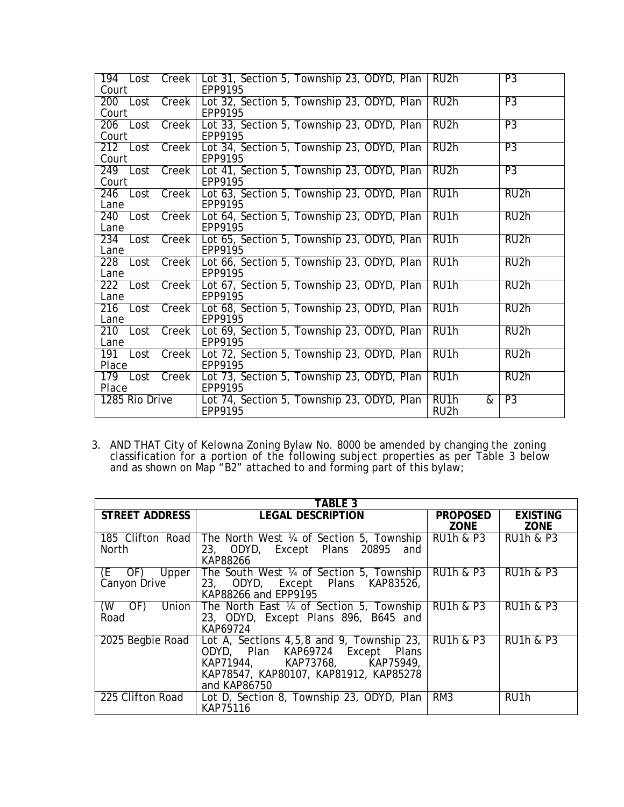| 194<br>Creek<br>Lost<br>Court | Lot 31, Section 5, Township 23, ODYD, Plan<br>EPP9195 | RU <sub>2</sub> h                           | P <sub>3</sub>    |
|-------------------------------|-------------------------------------------------------|---------------------------------------------|-------------------|
| Creek<br>200<br>Lost<br>Court | Lot 32, Section 5, Township 23, ODYD, Plan<br>EPP9195 | RU <sub>2</sub> h                           | P <sub>3</sub>    |
| 206<br>Lost<br>Creek<br>Court | Lot 33, Section 5, Township 23, ODYD, Plan<br>EPP9195 | RU <sub>2</sub> h                           | P <sub>3</sub>    |
| 212<br>Creek<br>Lost<br>Court | Lot 34, Section 5, Township 23, ODYD, Plan<br>FPP9195 | RU <sub>2</sub> h                           | P <sub>3</sub>    |
| 249 Lost<br>Creek<br>Court    | Lot 41, Section 5, Township 23, ODYD, Plan<br>EPP9195 | RU <sub>2</sub> h                           | P <sub>3</sub>    |
| 246<br>Creek<br>Lost<br>Lane  | Lot 63, Section 5, Township 23, ODYD, Plan<br>EPP9195 | RU <sub>1</sub> h                           | RU <sub>2</sub> h |
| 240<br>Lost<br>Creek<br>Lane  | Lot 64, Section 5, Township 23, ODYD, Plan<br>EPP9195 | RU <sub>1</sub> h                           | RU <sub>2</sub> h |
| 234<br>Creek<br>Lost<br>Lane  | Lot 65, Section 5, Township 23, ODYD, Plan<br>EPP9195 | RU <sub>1</sub> h                           | RU <sub>2</sub> h |
| 228<br>Creek<br>Lost<br>Lane  | Lot 66, Section 5, Township 23, ODYD, Plan<br>EPP9195 | RU <sub>1</sub> h                           | RU <sub>2</sub> h |
| 222<br>Creek<br>Lost<br>Lane  | Lot 67, Section 5, Township 23, ODYD, Plan<br>FPP9195 | RU <sub>1</sub> h                           | RU <sub>2</sub> h |
| Creek<br>216<br>Lost<br>Lane  | Lot 68, Section 5, Township 23, ODYD, Plan<br>EPP9195 | RU <sub>1</sub> h                           | RU <sub>2</sub> h |
| 210<br>Creek<br>Lost<br>Lane  | Lot 69, Section 5, Township 23, ODYD, Plan<br>FPP9195 | RU <sub>1</sub> h                           | RU <sub>2</sub> h |
| 191<br>Creek<br>Lost<br>Place | Lot 72, Section 5, Township 23, ODYD, Plan<br>EPP9195 | RU <sub>1</sub> h                           | RU <sub>2</sub> h |
| 179<br>Lost Creek<br>Place    | Lot 73, Section 5, Township 23, ODYD, Plan<br>EPP9195 | RU <sub>1</sub> h                           | RU <sub>2</sub> h |
| 1285 Rio Drive                | Lot 74, Section 5, Township 23, ODYD, Plan<br>EPP9195 | RU <sub>1</sub> h<br>&<br>RU <sub>2</sub> h | P <sub>3</sub>    |

3. AND THAT City of Kelowna Zoning Bylaw No. 8000 be amended by changing the zoning classification for a portion of the following subject properties as per Table 3 below and as shown on Map "B2" attached to and forming part of this bylaw;

| TABLE 3                      |                                                                                                                                                                                            |                         |                                |  |
|------------------------------|--------------------------------------------------------------------------------------------------------------------------------------------------------------------------------------------|-------------------------|--------------------------------|--|
| <b>STREET ADDRESS</b>        | <b>LEGAL DESCRIPTION</b>                                                                                                                                                                   | <b>PROPOSED</b><br>ZONE | <b>EXISTING</b><br><b>ZONE</b> |  |
| North                        | 185 Clifton Road   The North West ¼ of Section 5, Township  <br>23, ODYD, Except Plans 20895<br>and<br>KAP88266                                                                            | <b>RU1h &amp; P3</b>    | <b>RU1h &amp; P3</b>           |  |
| (E OF) Upper<br>Canyon Drive | The South West ¼ of Section 5, Township<br>23, ODYD, Except Plans KAP83526,<br>KAP88266 and EPP9195                                                                                        | $RU1h$ & P3             | <b>RU1h &amp; P3</b>           |  |
| $(W$ OF)<br>Road             | Union   The North East ¼ of Section 5, Township<br>23, ODYD, Except Plans 896, B645 and<br>KAP69724                                                                                        | <b>RU1h &amp; P3</b>    | <b>RU1h &amp; P3</b>           |  |
| 2025 Begbie Road             | Lot A, Sections $4,5,8$ and $9$ , Township $23$ , RU1h & P3<br>ODYD, Plan KAP69724 Except Plans<br>KAP71944, KAP73768, KAP75949,<br>KAP78547, KAP80107, KAP81912, KAP85278<br>and KAP86750 |                         | <b>RU1h &amp; P3</b>           |  |
| 225 Clifton Road             | Lot D, Section 8, Township 23, ODYD, Plan<br>KAP75116                                                                                                                                      | RM3                     | RU1h                           |  |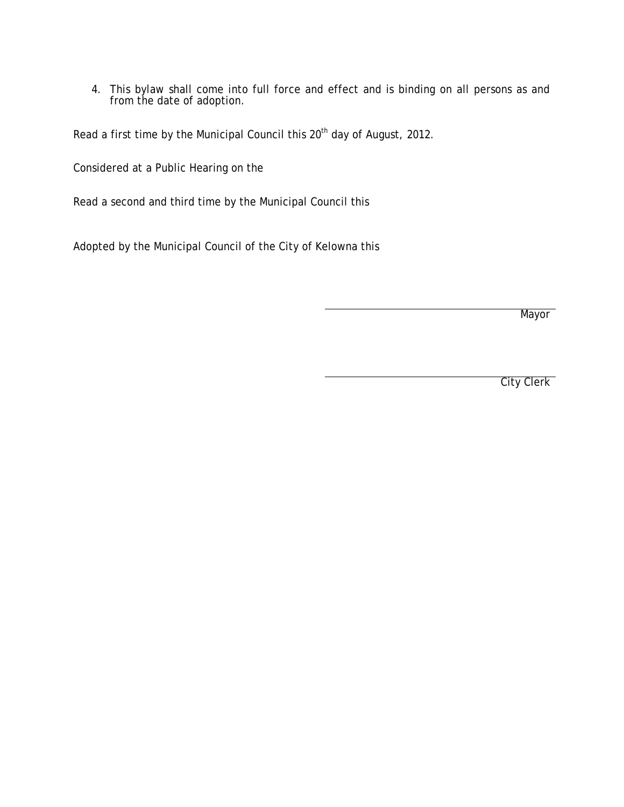4. This bylaw shall come into full force and effect and is binding on all persons as and from the date of adoption.

Read a first time by the Municipal Council this 20<sup>th</sup> day of August, 2012.

Considered at a Public Hearing on the

Read a second and third time by the Municipal Council this

Adopted by the Municipal Council of the City of Kelowna this

**Mayor** 

City Clerk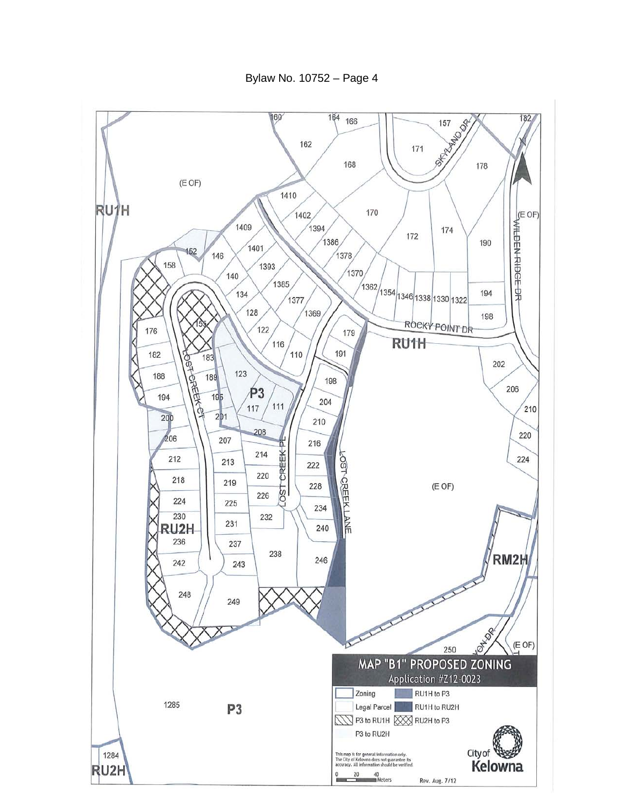Bylaw No. 10752 – Page 4